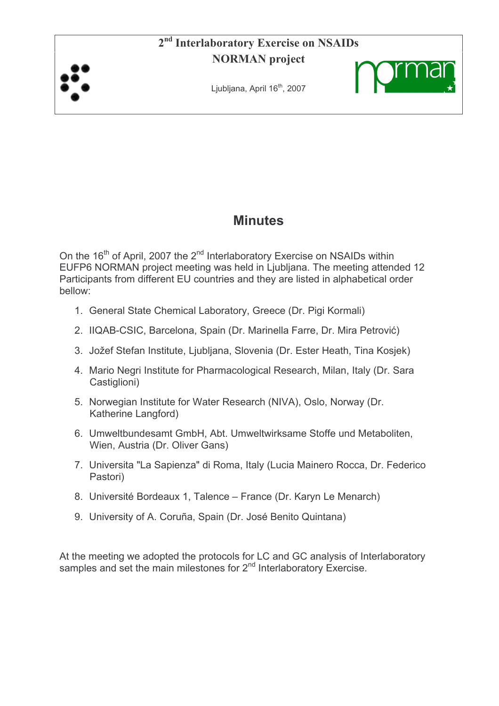## 2<sup>nd</sup> Interlaboratory Exercise on NSAIDs **NORMAN** project



Ljubljana, April 16<sup>th</sup>, 2007



# **Minutes**

On the 16<sup>th</sup> of April, 2007 the 2<sup>nd</sup> Interlaboratory Exercise on NSAIDs within EUFP6 NORMAN project meeting was held in Ljubljana. The meeting attended 12 Participants from different EU countries and they are listed in alphabetical order bellow:

- 1. General State Chemical Laboratory, Greece (Dr. Pigi Kormali)
- 2. IIQAB-CSIC, Barcelona, Spain (Dr. Marinella Farre, Dr. Mira Petrović)
- 3. Jožef Stefan Institute, Ljubljana, Slovenia (Dr. Ester Heath, Tina Kosjek)
- 4. Mario Negri Institute for Pharmacological Research, Milan, Italy (Dr. Sara Castiglioni)
- 5. Norwegian Institute for Water Research (NIVA), Oslo, Norway (Dr. Katherine Langford)
- 6. Umweltbundesamt GmbH, Abt. Umweltwirksame Stoffe und Metaboliten, Wien, Austria (Dr. Oliver Gans)
- 7. Universita "La Sapienza" di Roma, Italy (Lucia Mainero Rocca, Dr. Federico Pastori)
- 8. Université Bordeaux 1, Talence France (Dr. Karyn Le Menarch)
- 9. University of A. Coruña, Spain (Dr. José Benito Quintana)

At the meeting we adopted the protocols for LC and GC analysis of Interlaboratory samples and set the main milestones for 2<sup>nd</sup> Interlaboratory Exercise.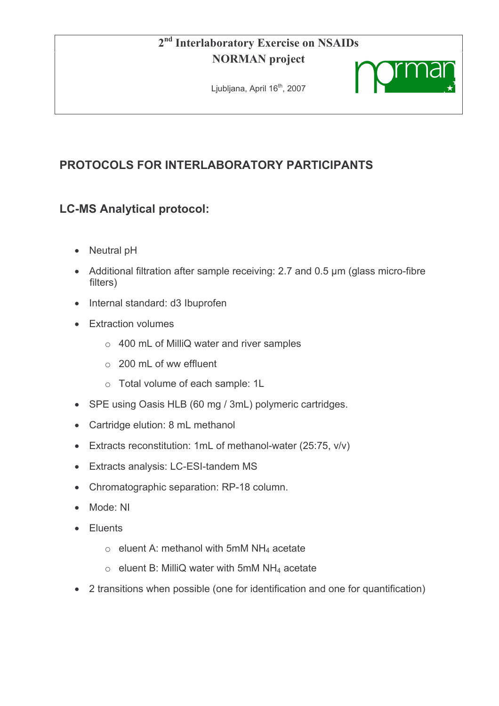#### $2<sup>nd</sup>$ **Interlaboratory Exercise on NSAIDs NORMAN** project

Ljubljana, April 16<sup>th</sup>, 2007



# PROTOCOLS FOR INTERLABORATORY PARTICIPANTS

## **LC-MS Analytical protocol:**

- Neutral pH
- Additional filtration after sample receiving: 2.7 and 0.5 µm (glass micro-fibre filters)
- Internal standard: d3 Ibuprofen
- Extraction volumes
	- o 400 mL of MilliQ water and river samples
	- $\circ$  200 mL of ww effluent
	- o Total volume of each sample: 1L
- SPE using Oasis HLB (60 mg / 3mL) polymeric cartridges.
- Cartridge elution: 8 mL methanol
- Extracts reconstitution: 1mL of methanol-water (25:75, v/v)
- Extracts analysis: LC-ESI-tandem MS
- Chromatographic separation: RP-18 column.
- Mode: NI
- Eluents
	- $\circ$  eluent A: methanol with 5mM NH<sub>4</sub> acetate
	- $\circ$  eluent B: MilliQ water with 5mM NH<sub>4</sub> acetate
- 2 transitions when possible (one for identification and one for quantification)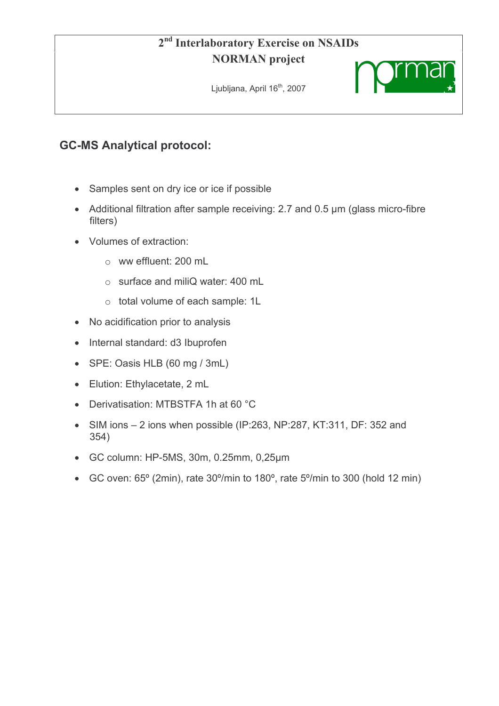# 2<sup>nd</sup> Interlaboratory Exercise on NSAIDs **NORMAN** project

Ljubljana, April 16<sup>th</sup>, 2007



## **GC-MS Analytical protocol:**

- Samples sent on dry ice or ice if possible
- Additional filtration after sample receiving: 2.7 and 0.5 µm (glass micro-fibre filters)
- Volumes of extraction:
	- $\circ$  ww effluent: 200 mL
	- $\circ$  surface and miliQ water: 400 mL
	- o total volume of each sample: 1L
- No acidification prior to analysis
- Internal standard: d3 Ibuprofen
- SPE: Oasis HLB (60 mg / 3mL)
- Elution: Ethylacetate, 2 mL
- Derivatisation: MTBSTFA 1h at 60 °C
- SIM ions  $-2$  ions when possible (IP:263, NP:287, KT:311, DF: 352 and  $354)$
- GC column: HP-5MS, 30m, 0.25mm, 0,25µm
- GC oven: 65° (2min), rate 30°/min to 180°, rate 5°/min to 300 (hold 12 min)